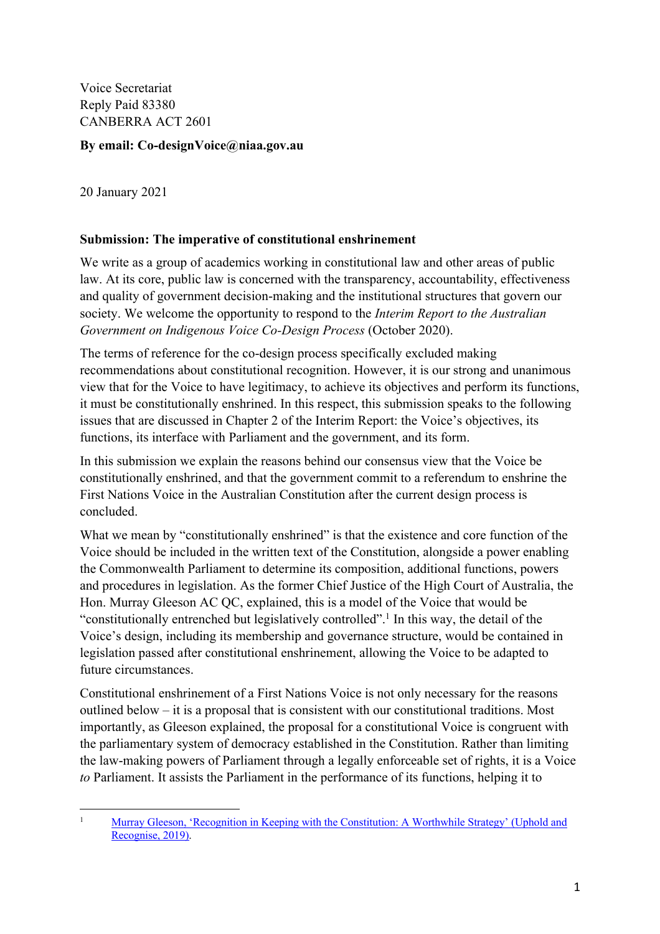Voice Secretariat Reply Paid 83380 CANBERRA ACT 2601

### **By email: Co-designVoice@niaa.gov.au**

20 January 2021

### **Submission: The imperative of constitutional enshrinement**

We write as a group of academics working in constitutional law and other areas of public law. At its core, public law is concerned with the transparency, accountability, effectiveness and quality of government decision-making and the institutional structures that govern our society. We welcome the opportunity to respond to the *Interim Report to the Australian Government on Indigenous Voice Co-Design Process* (October 2020).

 view that for the Voice to have legitimacy, to achieve its objectives and perform its functions, The terms of reference for the co-design process specifically excluded making recommendations about constitutional recognition. However, it is our strong and unanimous it must be constitutionally enshrined. In this respect, this submission speaks to the following issues that are discussed in Chapter 2 of the Interim Report: the Voice's objectives, its functions, its interface with Parliament and the government, and its form.

In this submission we explain the reasons behind our consensus view that the Voice be constitutionally enshrined, and that the government commit to a referendum to enshrine the First Nations Voice in the Australian Constitution after the current design process is concluded.

What we mean by "constitutionally enshrined" is that the existence and core function of the Voice should be included in the written text of the Constitution, alongside a power enabling the Commonwealth Parliament to determine its composition, additional functions, powers and procedures in legislation. As the former Chief Justice of the High Court of Australia, the Hon. Murray Gleeson AC QC, explained, this is a model of the Voice that would be "constitutionally entrenched but legislatively controlled".1 In this way, the detail of the Voice's design, including its membership and governance structure, would be contained in legislation passed after constitutional enshrinement, allowing the Voice to be adapted to future circumstances.

 outlined below – it is a proposal that is consistent with our constitutional traditions. Most the law-making powers of Parliament through a legally enforceable set of rights, it is a Voice Constitutional enshrinement of a First Nations Voice is not only necessary for the reasons importantly, as Gleeson explained, the proposal for a constitutional Voice is congruent with the parliamentary system of democracy established in the Constitution. Rather than limiting *to* Parliament. It assists the Parliament in the performance of its functions, helping it to

 1Murray Gleeson, 'Recognition in Keeping with the Constitution: A Worthwhile Strategy' (Uphold and Recognise, 2019).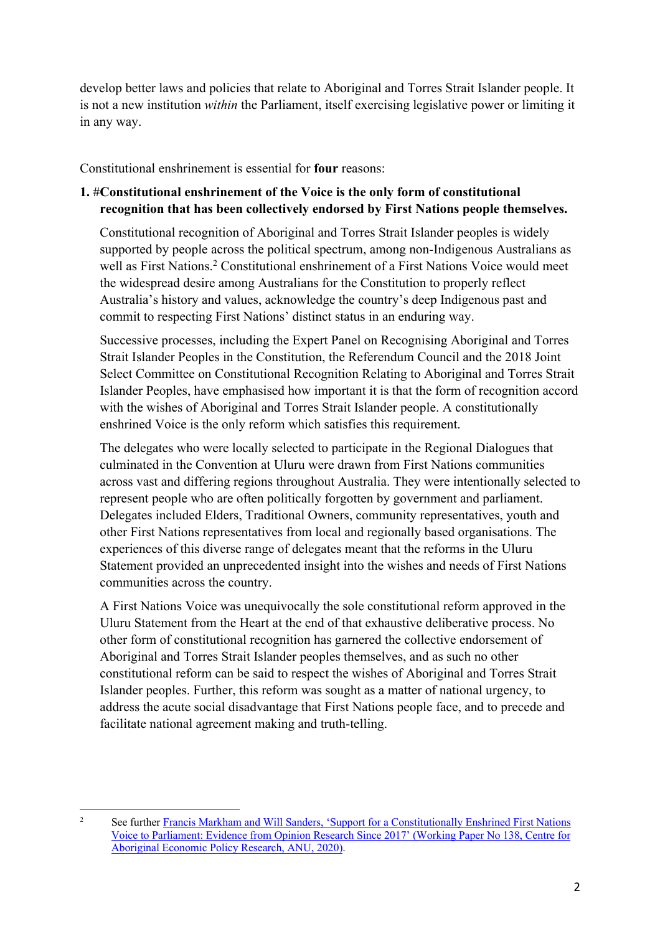develop better laws and policies that relate to Aboriginal and Torres Strait Islander people. It is not a new institution *within* the Parliament, itself exercising legislative power or limiting it in any way.

Constitutional enshrinement is essential for **four** reasons:

## **1.** #**Constitutional enshrinement of the Voice is the only form of constitutional recognition that has been collectively endorsed by First Nations people themselves.**

Constitutional recognition of Aboriginal and Torres Strait Islander peoples is widely supported by people across the political spectrum, among non-Indigenous Australians as well as First Nations.2 Constitutional enshrinement of a First Nations Voice would meet the widespread desire among Australians for the Constitution to properly reflect Australia's history and values, acknowledge the country's deep Indigenous past and commit to respecting First Nations' distinct status in an enduring way.

Successive processes, including the Expert Panel on Recognising Aboriginal and Torres Strait Islander Peoples in the Constitution, the Referendum Council and the 2018 Joint Select Committee on Constitutional Recognition Relating to Aboriginal and Torres Strait Islander Peoples, have emphasised how important it is that the form of recognition accord with the wishes of Aboriginal and Torres Strait Islander people. A constitutionally enshrined Voice is the only reform which satisfies this requirement.

The delegates who were locally selected to participate in the Regional Dialogues that culminated in the Convention at Uluru were drawn from First Nations communities across vast and differing regions throughout Australia. They were intentionally selected to represent people who are often politically forgotten by government and parliament. Delegates included Elders, Traditional Owners, community representatives, youth and other First Nations representatives from local and regionally based organisations. The experiences of this diverse range of delegates meant that the reforms in the Uluru Statement provided an unprecedented insight into the wishes and needs of First Nations communities across the country.

 constitutional reform can be said to respect the wishes of Aboriginal and Torres Strait A First Nations Voice was unequivocally the sole constitutional reform approved in the Uluru Statement from the Heart at the end of that exhaustive deliberative process. No other form of constitutional recognition has garnered the collective endorsement of Aboriginal and Torres Strait Islander peoples themselves, and as such no other Islander peoples. Further, this reform was sought as a matter of national urgency, to address the acute social disadvantage that First Nations people face, and to precede and facilitate national agreement making and truth-telling.

 2 Voice to Parliament: Evidence from Opinion Research Since 2017' (Working Paper No 138, Centre for Aboriginal Economic Policy Research, ANU, 2020). See further Francis Markham and Will Sanders, 'Support for a Constitutionally Enshrined First Nations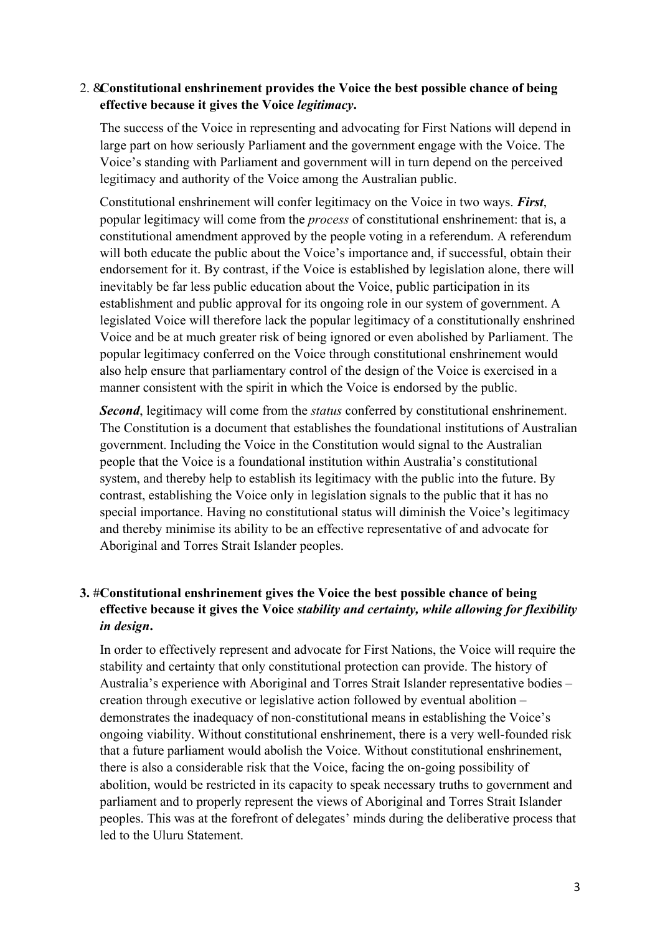### 2. &**Constitutional enshrinement provides the Voice the best possible chance of being effective because it gives the Voice** *legitimacy***.**

The success of the Voice in representing and advocating for First Nations will depend in large part on how seriously Parliament and the government engage with the Voice. The Voice's standing with Parliament and government will in turn depend on the perceived legitimacy and authority of the Voice among the Australian public.

Constitutional enshrinement will confer legitimacy on the Voice in two ways. *First*, popular legitimacy will come from the *process* of constitutional enshrinement: that is, a constitutional amendment approved by the people voting in a referendum. A referendum will both educate the public about the Voice's importance and, if successful, obtain their endorsement for it. By contrast, if the Voice is established by legislation alone, there will inevitably be far less public education about the Voice, public participation in its establishment and public approval for its ongoing role in our system of government. A legislated Voice will therefore lack the popular legitimacy of a constitutionally enshrined Voice and be at much greater risk of being ignored or even abolished by Parliament. The popular legitimacy conferred on the Voice through constitutional enshrinement would also help ensure that parliamentary control of the design of the Voice is exercised in a manner consistent with the spirit in which the Voice is endorsed by the public.

*Second*, legitimacy will come from the *status* conferred by constitutional enshrinement. The Constitution is a document that establishes the foundational institutions of Australian government. Including the Voice in the Constitution would signal to the Australian people that the Voice is a foundational institution within Australia's constitutional system, and thereby help to establish its legitimacy with the public into the future. By contrast, establishing the Voice only in legislation signals to the public that it has no special importance. Having no constitutional status will diminish the Voice's legitimacy and thereby minimise its ability to be an effective representative of and advocate for Aboriginal and Torres Strait Islander peoples.

## **3.** #**Constitutional enshrinement gives the Voice the best possible chance of being effective because it gives the Voice** *stability and certainty, while allowing for flexibility in design***.**

 Australia's experience with Aboriginal and Torres Strait Islander representative bodies – In order to effectively represent and advocate for First Nations, the Voice will require the stability and certainty that only constitutional protection can provide. The history of creation through executive or legislative action followed by eventual abolition – demonstrates the inadequacy of non-constitutional means in establishing the Voice's ongoing viability. Without constitutional enshrinement, there is a very well-founded risk that a future parliament would abolish the Voice. Without constitutional enshrinement, there is also a considerable risk that the Voice, facing the on-going possibility of abolition, would be restricted in its capacity to speak necessary truths to government and parliament and to properly represent the views of Aboriginal and Torres Strait Islander peoples. This was at the forefront of delegates' minds during the deliberative process that led to the Uluru Statement.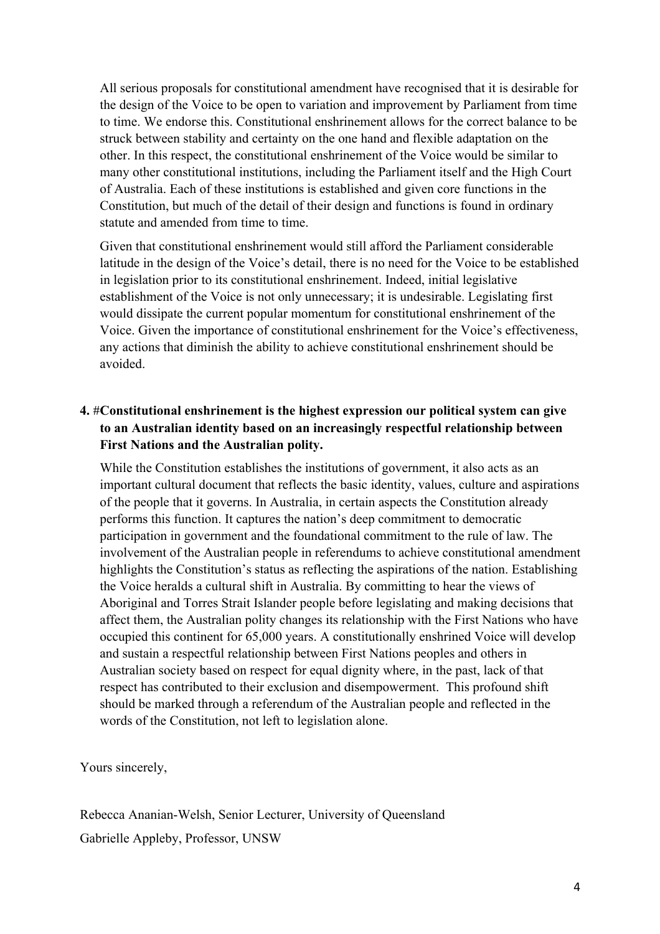All serious proposals for constitutional amendment have recognised that it is desirable for the design of the Voice to be open to variation and improvement by Parliament from time to time. We endorse this. Constitutional enshrinement allows for the correct balance to be struck between stability and certainty on the one hand and flexible adaptation on the other. In this respect, the constitutional enshrinement of the Voice would be similar to many other constitutional institutions, including the Parliament itself and the High Court of Australia. Each of these institutions is established and given core functions in the Constitution, but much of the detail of their design and functions is found in ordinary statute and amended from time to time.

Given that constitutional enshrinement would still afford the Parliament considerable latitude in the design of the Voice's detail, there is no need for the Voice to be established in legislation prior to its constitutional enshrinement. Indeed, initial legislative establishment of the Voice is not only unnecessary; it is undesirable. Legislating first would dissipate the current popular momentum for constitutional enshrinement of the Voice. Given the importance of constitutional enshrinement for the Voice's effectiveness, any actions that diminish the ability to achieve constitutional enshrinement should be avoided.

# **to an Australian identity based on an increasingly respectful relationship between 4.** #**Constitutional enshrinement is the highest expression our political system can give First Nations and the Australian polity.**

While the Constitution establishes the institutions of government, it also acts as an important cultural document that reflects the basic identity, values, culture and aspirations of the people that it governs. In Australia, in certain aspects the Constitution already performs this function. It captures the nation's deep commitment to democratic participation in government and the foundational commitment to the rule of law. The involvement of the Australian people in referendums to achieve constitutional amendment highlights the Constitution's status as reflecting the aspirations of the nation. Establishing the Voice heralds a cultural shift in Australia. By committing to hear the views of Aboriginal and Torres Strait Islander people before legislating and making decisions that affect them, the Australian polity changes its relationship with the First Nations who have occupied this continent for 65,000 years. A constitutionally enshrined Voice will develop and sustain a respectful relationship between First Nations peoples and others in Australian society based on respect for equal dignity where, in the past, lack of that respect has contributed to their exclusion and disempowerment. This profound shift should be marked through a referendum of the Australian people and reflected in the words of the Constitution, not left to legislation alone.

Yours sincerely,

Rebecca Ananian-Welsh, Senior Lecturer, University of Queensland Gabrielle Appleby, Professor, UNSW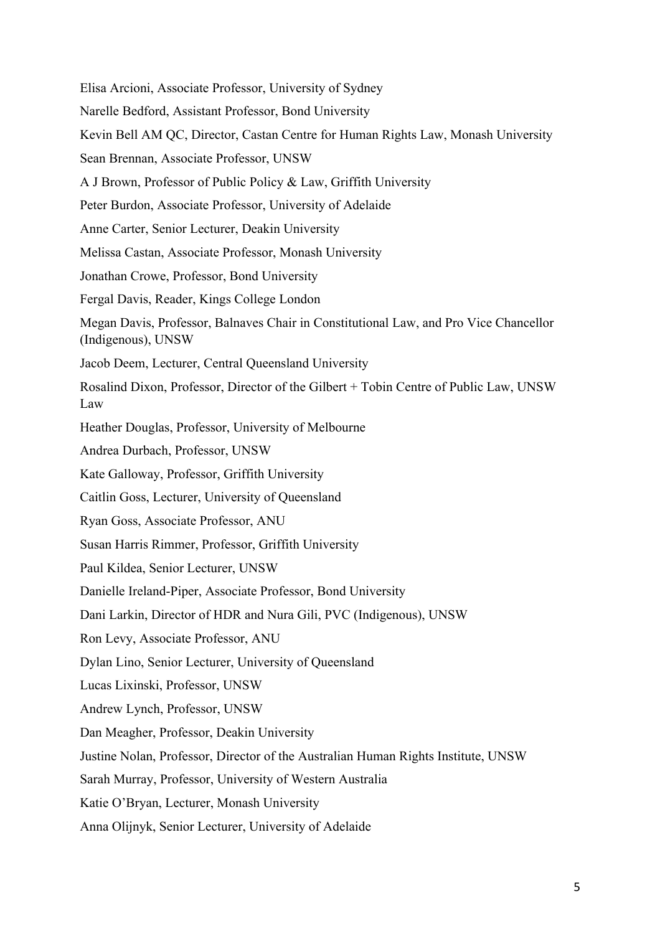Lucas Lixinski, Professor, UNSW Andrew Lynch, Professor, UNSW Elisa Arcioni, Associate Professor, University of Sydney Narelle Bedford, Assistant Professor, Bond University Kevin Bell AM QC, Director, Castan Centre for Human Rights Law, Monash University Sean Brennan, Associate Professor, UNSW A J Brown, Professor of Public Policy & Law, Griffith University Peter Burdon, Associate Professor, University of Adelaide Anne Carter, Senior Lecturer, Deakin University Melissa Castan, Associate Professor, Monash University Jonathan Crowe, Professor, Bond University Fergal Davis, Reader, Kings College London Megan Davis, Professor, Balnaves Chair in Constitutional Law, and Pro Vice Chancellor (Indigenous), UNSW Jacob Deem, Lecturer, Central Queensland University Rosalind Dixon, Professor, Director of the Gilbert + Tobin Centre of Public Law, UNSW Law Heather Douglas, Professor, University of Melbourne Andrea Durbach, Professor, UNSW Kate Galloway, Professor, Griffith University Caitlin Goss, Lecturer, University of Queensland Ryan Goss, Associate Professor, ANU Susan Harris Rimmer, Professor, Griffith University Paul Kildea, Senior Lecturer, UNSW Danielle Ireland-Piper, Associate Professor, Bond University Dani Larkin, Director of HDR and Nura Gili, PVC (Indigenous), UNSW Ron Levy, Associate Professor, ANU Dylan Lino, Senior Lecturer, University of Queensland Dan Meagher, Professor, Deakin University Justine Nolan, Professor, Director of the Australian Human Rights Institute, UNSW Sarah Murray, Professor, University of Western Australia Katie O'Bryan, Lecturer, Monash University Anna Olijnyk, Senior Lecturer, University of Adelaide